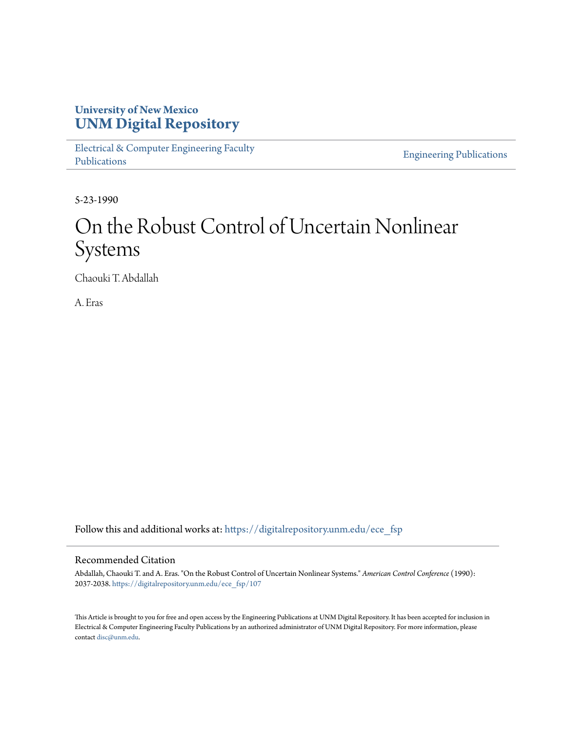## **University of New Mexico [UNM Digital Repository](https://digitalrepository.unm.edu?utm_source=digitalrepository.unm.edu%2Fece_fsp%2F107&utm_medium=PDF&utm_campaign=PDFCoverPages)**

[Electrical & Computer Engineering Faculty](https://digitalrepository.unm.edu/ece_fsp?utm_source=digitalrepository.unm.edu%2Fece_fsp%2F107&utm_medium=PDF&utm_campaign=PDFCoverPages) [Publications](https://digitalrepository.unm.edu/ece_fsp?utm_source=digitalrepository.unm.edu%2Fece_fsp%2F107&utm_medium=PDF&utm_campaign=PDFCoverPages)

[Engineering Publications](https://digitalrepository.unm.edu/eng_fsp?utm_source=digitalrepository.unm.edu%2Fece_fsp%2F107&utm_medium=PDF&utm_campaign=PDFCoverPages)

5-23-1990

# On the Robust Control of Uncertain Nonlinear Systems

Chaouki T. Abdallah

A. Eras

Follow this and additional works at: [https://digitalrepository.unm.edu/ece\\_fsp](https://digitalrepository.unm.edu/ece_fsp?utm_source=digitalrepository.unm.edu%2Fece_fsp%2F107&utm_medium=PDF&utm_campaign=PDFCoverPages)

### Recommended Citation

Abdallah, Chaouki T. and A. Eras. "On the Robust Control of Uncertain Nonlinear Systems." *American Control Conference* (1990): 2037-2038. [https://digitalrepository.unm.edu/ece\\_fsp/107](https://digitalrepository.unm.edu/ece_fsp/107?utm_source=digitalrepository.unm.edu%2Fece_fsp%2F107&utm_medium=PDF&utm_campaign=PDFCoverPages)

This Article is brought to you for free and open access by the Engineering Publications at UNM Digital Repository. It has been accepted for inclusion in Electrical & Computer Engineering Faculty Publications by an authorized administrator of UNM Digital Repository. For more information, please contact [disc@unm.edu.](mailto:disc@unm.edu)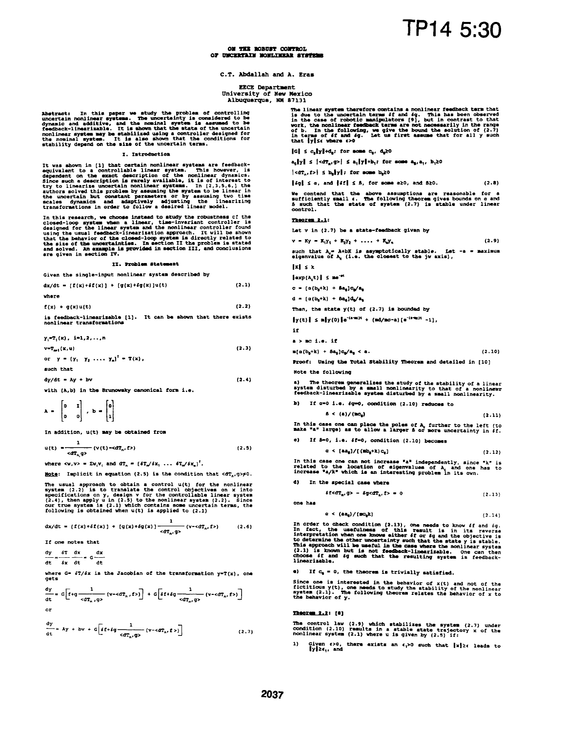ON THE BORDET COMPROT. OF UNCERTAIN NONLINEAR SYSTEMS

#### C.T. Abdallah and A. Eras

#### **EECE Department**

University of New Mexico Albuquerque, NM 87131

Abstract: In this paper we study the problem of controlling<br>uncertain nonlinear systems. The uncertainty is considered to be<br>dynamic and additive, and the nominal system is assumed to be<br>feedback-linearizable. It is shown

#### I. Introduction

It was shown in [1] that certain nonlinear systems are feedback-<br>equivalent to a controllable linear system. This however, is<br>dependent on the exact description of the nonlinear dynamics.<br>Since such a description is rarely

In this research, we choose instead to study the robustness of the<br>closed-loop system when a linear, time-invariant controller is<br>designed for the linear system and the nonlinear controller found<br>using the usual feedback-l

#### II. Problem Statement

Given the single-input nonlinear system described by

$$
dx/dt = [f(x) + \delta f(x)] + [g(x) + \delta g(x)]u(t)
$$
 (2.1)

$$
f(x) + g(x)u(t) \tag{2.2}
$$

is feedback-linearizable [1]. It can be shown that there exists<br>nonlinear transformations

 $y_i = T_i(x), i = 1, 2, \ldots n$ 

 $v=T_{\text{ref}}(x,u)$ 

where

or  $y = (y_1 \ y_2 \ \ldots \ y_n)^T = T(x)$ ,

such that

 $dy/dt = Ay + bv$ 

with (A,b) in the Brunowsky canonical form i.e.

$$
A = \begin{bmatrix} 0 & 1 \\ 0 & 0 \end{bmatrix}, b = \begin{bmatrix} 0 \\ 1 \end{bmatrix}
$$

In addition, u(t) may be obtained from

$$
u(t) = \frac{1}{< dT_{n, \mathcal{G}}}
$$
 (v(t)  $-\epsilon dT_{n, \mathcal{I}}$ ) (2.5)

where  $\langle v, v \rangle = \sum v_i v_i$  and  $dT_n = [\delta T_n / \delta x, \ldots, \delta T_n / \delta x_n]^T$ .

Note: Implicit in equation (2.5) is the condition that  $\langle dT_{1}, q \rangle \neq 0$ .

The usual approach to obtain a control  $u(t)$  for the nonlinear<br>system (2.2) is to translate the control objectives on x into<br>specifications on y, design v for the controllable linear system<br>(2.4), then apply u in (2.5) to

$$
dx/dt = [f(x)+\delta f(x)] + [g(x)+\delta g(x)] \frac{1}{< dT_x, g} (v+cdT_n, f>)
$$
 (2.6)

If one notes that

 $\frac{dy}{dx} = \frac{\delta T}{\delta x} \frac{dx}{dx} = G$ dx  $dt = \delta x$   $dt$  $4<sub>+</sub>$ 

where  $G = \frac{5T}{6x}$  is the Jacobian of the transformation  $y = T(x)$ , one gets

$$
\frac{dy}{dt} = G\left[f+g\frac{1}{< d\mathtt{T}_n, g>} \left(v+< d\mathtt{T}_n, f> \right)\right] + G\left[\delta f + \delta g \frac{1}{< d\mathtt{T}_n, g>} \left(v-< d\mathtt{T}_n, f> \right)\right]
$$
\nor

$$
\frac{dy}{dt} = Ay + bv + G \left[ \delta f + \delta g \frac{1}{\alpha T_n g} \left( v - \alpha T_n, f \right) \right]
$$
\n(2.7)

The linear system therefore contains a nonlinear feedback term that<br>is due to the uncertain terms if and  $\epsilon q$ . This has been observed<br>in the case of robotic manipulators [9], but in contrast to that<br>work, the nonlinear f

 $|G| \leq c_1 |y| + d_1$ ; for some  $c_1$ ,  $d_2 \geq 0$ 

 $a_n[y] \leq |\langle dT_n, g \rangle| \leq a_n[y] + b_n$ ; for some  $a_n, a_n, b_n \geq 0$ 

 $|\langle dT_n, f \rangle| \le b_0 \|y\|$ ; for some  $b_0 \ge 0$ 

$$
\lceil \log \rceil \le \alpha, \text{ and } \lceil \delta \le \beta, \text{ for some } \alpha \ge 0, \text{ and } \beta \ge 0. \tag{2.8}
$$

We contend that the above assumptions are reasonable for a sufficiently small  $\epsilon$ . The following theorem gives bounds on  $\alpha$  and  $\delta$  such that the state of system (2.7) is stable under linear control.

#### Theorem 2.1:

Let  $v$  in  $(2.7)$  be a state-feedback given by

$$
v = Ky = K_1Y_1 + K_2Y_2 + \ldots + K_nY_n
$$
 (2.9)

such that  $\lambda_c = \lambda + bK$  is asymptotically stable. Let eigenvalue of  $\lambda_c$  (i.e. the closest to the jw axis), Let  $-a = maxima$ 

 $|x| \leq x$ 

$$
\left\{ \exp\left(\lambda,t\right)\right\} \leq \mathrm{me}^{-\mathrm{st}}
$$

 $c = (a(b_0+k) + ba_0)c_0/a_0$ 

 $d = [a(b_n+k) + Ba_n]d_n/a_n$ 

Then, the state  $y(t)$  of  $(2.7)$  is bounded by

 $\|y(t)\| \le n\|y(0)\|e^{-(n-m)t} + (m d/mc-a)\{e^{-(n-m)t} - 1\},$ 

 $\mathbf{H}$ 

 $(2.3)$ 

 $(2.4)$ 

a b no i.e. if

 $\pi(\alpha(b_0+k) + \beta a_0) c_0/a_0 < a.$ 

Proof: Using the Total Stability Theorem and detailed in [10]

Note the following

a) The theorem generalizes the study of the stability of a linear<br>system disturbed by a small nonlinearity to that of a nonlinear<br>feedback-linearizable system disturbed by a small nonlinearity.

b) If  $a=0$  i.e.  $4g=0$ , condition (2.10) reduces to

$$
\beta < (a) / (nc_0) \tag{2.11}
$$

In this case one can place the poles of  $\lambda_c$  further to the left (to make "a" large) as to allow a larger  $\delta$  or more uncertainty in  $\delta f$ .

c) If B=0, i.e. 
$$
\delta f=0
$$
, condition (2.10) becomes  $\alpha < [a\mathbf{a}_0]/[(\mathbf{m}\mathbf{b}_0 + \mathbf{k})\mathbf{c}_0]$  (2.12)

In this case one can not increase "a" independently, since "k" is<br>related to the location of eigenvalues of  $\lambda$  and one has to<br>increase "a/k" which is an interesting problem in its own.

d) In the special case where

$$
\delta f \prec dT_n, g> - \delta g \prec dT_n, f> = 0 \tag{2.13}
$$

one has

$$
\alpha \leq (aa_0) / (m c_0 k) \tag{2.14}
$$

 $(2.10)$ 

 $(2.12)$ 

In order to check condition (2.13), one needs to know of and og.<br>In fact, the usefulness of this result is in its reverse<br>interpretation when one knows either for  $\epsilon q$  and the objective is<br>to determine the other uncertai linearizabl

**e**) If  $c_0 = 0$ , the theorem is trivially satisfied.

Since one is interested in the behavior of  $x(t)$  and not of the fictitious  $y(t)$ , one needs to study the stability of the nonlinear system  $(2.1)$ . The following theorem relates the behavior of x to the behavior of y.

#### Theorem 2.2: [9]

The control law (2.9) which stabilizes the system (2.7) under condition (2.10) results in a stable state trajectory x of the nonlinear system (2.1) where u is given by (2.5) if:

Given  $\epsilon > 0$ , there exists an  $\epsilon_1 > 0$  such that  $\|x\| \ge \epsilon$  leads to  $\|y\| \ge \epsilon_1$ , and 1)